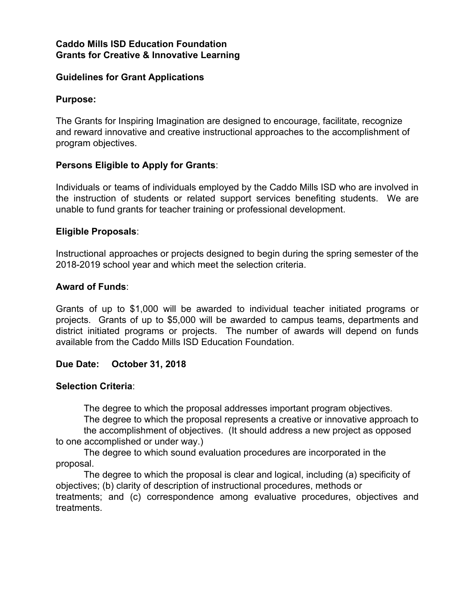#### **Caddo Mills ISD Education Foundation Grants for Creative & Innovative Learning**

#### **Guidelines for Grant Applications**

#### **Purpose:**

The Grants for Inspiring Imagination are designed to encourage, facilitate, recognize and reward innovative and creative instructional approaches to the accomplishment of program objectives.

#### **Persons Eligible to Apply for Grants**:

Individuals or teams of individuals employed by the Caddo Mills ISD who are involved in the instruction of students or related support services benefiting students. We are unable to fund grants for teacher training or professional development.

#### **Eligible Proposals**:

Instructional approaches or projects designed to begin during the spring semester of the 2018-2019 school year and which meet the selection criteria.

#### **Award of Funds**:

Grants of up to \$1,000 will be awarded to individual teacher initiated programs or projects. Grants of up to \$5,000 will be awarded to campus teams, departments and district initiated programs or projects. The number of awards will depend on funds available from the Caddo Mills ISD Education Foundation.

## **Due Date: October 31, 2018**

#### **Selection Criteria**:

The degree to which the proposal addresses important program objectives.

The degree to which the proposal represents a creative or innovative approach to the accomplishment of objectives. (It should address a new project as opposed to one accomplished or under way.)

The degree to which sound evaluation procedures are incorporated in the proposal.

The degree to which the proposal is clear and logical, including (a) specificity of objectives; (b) clarity of description of instructional procedures, methods or treatments; and (c) correspondence among evaluative procedures, objectives and treatments.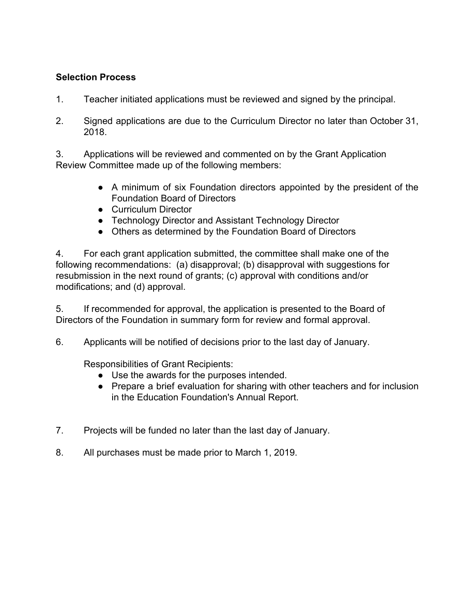## **Selection Process**

- 1. Teacher initiated applications must be reviewed and signed by the principal.
- 2. Signed applications are due to the Curriculum Director no later than October 31, 2018.

3. Applications will be reviewed and commented on by the Grant Application Review Committee made up of the following members:

- A minimum of six Foundation directors appointed by the president of the Foundation Board of Directors
- Curriculum Director
- Technology Director and Assistant Technology Director
- Others as determined by the Foundation Board of Directors

4. For each grant application submitted, the committee shall make one of the following recommendations: (a) disapproval; (b) disapproval with suggestions for resubmission in the next round of grants; (c) approval with conditions and/or modifications; and (d) approval.

5. If recommended for approval, the application is presented to the Board of Directors of the Foundation in summary form for review and formal approval.

6. Applicants will be notified of decisions prior to the last day of January.

Responsibilities of Grant Recipients:

- Use the awards for the purposes intended.
- Prepare a brief evaluation for sharing with other teachers and for inclusion in the Education Foundation's Annual Report.
- 7. Projects will be funded no later than the last day of January.
- 8. All purchases must be made prior to March 1, 2019.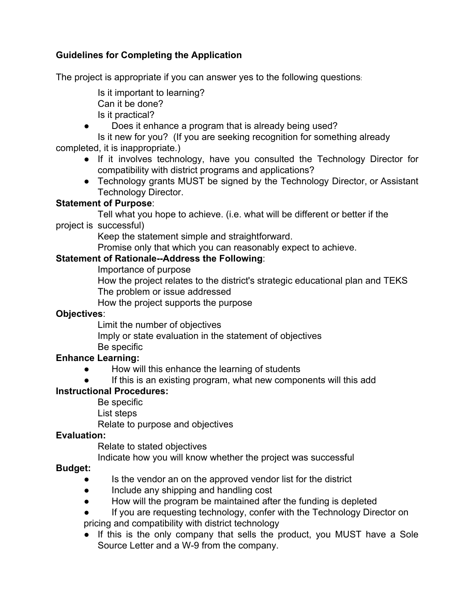# **Guidelines for Completing the Application**

The project is appropriate if you can answer yes to the following questions:

- Is it important to learning? Can it be done? Is it practical?
- Does it enhance a program that is already being used?

Is it new for you? (If you are seeking recognition for something already completed, it is inappropriate.)

- If it involves technology, have you consulted the Technology Director for compatibility with district programs and applications?
- Technology grants MUST be signed by the Technology Director, or Assistant Technology Director.

## **Statement of Purpose**:

Tell what you hope to achieve. (i.e. what will be different or better if the project is successful)

Keep the statement simple and straightforward.

Promise only that which you can reasonably expect to achieve.

## **Statement of Rationale--Address the Following**:

Importance of purpose

How the project relates to the district's strategic educational plan and TEKS The problem or issue addressed

How the project supports the purpose

## **Objectives**:

Limit the number of objectives

Imply or state evaluation in the statement of objectives Be specific

# **Enhance Learning:**

- How will this enhance the learning of students
- If this is an existing program, what new components will this add

## **Instructional Procedures:**

Be specific

List steps

Relate to purpose and objectives

## **Evaluation:**

Relate to stated objectives

Indicate how you will know whether the project was successful

# **Budget:**

- Is the vendor an on the approved vendor list for the district
- Include any shipping and handling cost
- How will the program be maintained after the funding is depleted
- If you are requesting technology, confer with the Technology Director on pricing and compatibility with district technology
- If this is the only company that sells the product, you MUST have a Sole Source Letter and a W-9 from the company.